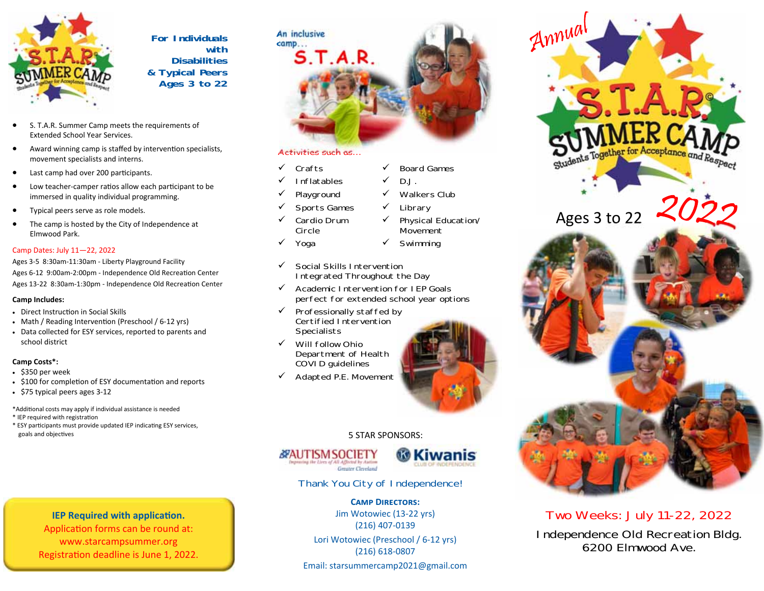

**For Individuals with Disabilities & Typical Peers Ages 3 to 22**

- $\bullet$  S. T.A.R. Summer Camp meets the requirements of Extended School Year Services.
- $\bullet$ Award winning camp is staffed by intervention specialists, movement specialists and interns.
- $\bullet$ Last camp had over 200 participants.
- $\bullet$ Low teacher-camper ratios allow each participant to be immersed in quality individual programming.
- $\bullet$ Typical peers serve as role models.
- $\bullet$  The camp is hosted by the City of Independence at Elmwood Park.

#### Camp Dates: July 11—22, 2022

Ages 3‐5 8:30am‐11:30am ‐ Liberty Playground Facility Ages 6-12 9:00am-2:00pm - Independence Old Recreation Center Ages 13-22 8:30am-1:30pm - Independence Old Recreation Center

#### **Camp Includes:**

- Direct Instruction in Social Skills
- Math / Reading Intervention (Preschool / 6-12 yrs)
- Data collected for ESY services, reported to parents and school district

#### **Camp Costs\*:**

- \$350 per week
- \$100 for completion of ESY documentation and reports
- \$75 typical peers ages 3-12

\*AddiƟonal costs may apply if individual assistance is needed \* IEP required with registration

\* ESY participants must provide updated IEP indicating ESY services, goals and objectives

## **IEP Required with application.**

Application forms can be round at: www.starcampsummer.org Registration deadline is June 1, 2022.

#### $\checkmark$  Board Games

- $\checkmark$  D.J.
- $\checkmark$  Playground

**S.T.A.R.** 

 $\checkmark$  Sports Games

Activities such as…

- $\checkmark$  Cardio Drum Circle
- $\checkmark$  Yoga

 $\checkmark$  Crafts  $\checkmark$  Inflatables

**An inclusive camp...**

- $\checkmark$  Social Skills Intervention Integrated Throughout the Day
- $\checkmark$  Academic Intervention for IEP Goals perfect for extended school year options
- $\checkmark$  Professionally staffed by Certified Intervention **Specialists**
- $\checkmark$  Will follow Ohio COVID guidelines
- $\checkmark$  Adapted P.E. Movement



### 5 STAR SPONSORS:





Thank You City of Independence!

#### **CAMP DIRECTORS:**

Jim Wotowiec (13‐22 yrs) (216) 407‐0139

Lori Wotowiec (Preschool / 6‐12 yrs) (216) 618‐0807

Email: starsummercamp2021@gmail.com





Two Weeks: July 11-22, 2022 Independence Old Recreation Bldg. 6200 Elmwood Ave.



- $\checkmark$  Physical Education/
- Movement Swimming
- 
- 
- 
- 
- 

# Department of Health